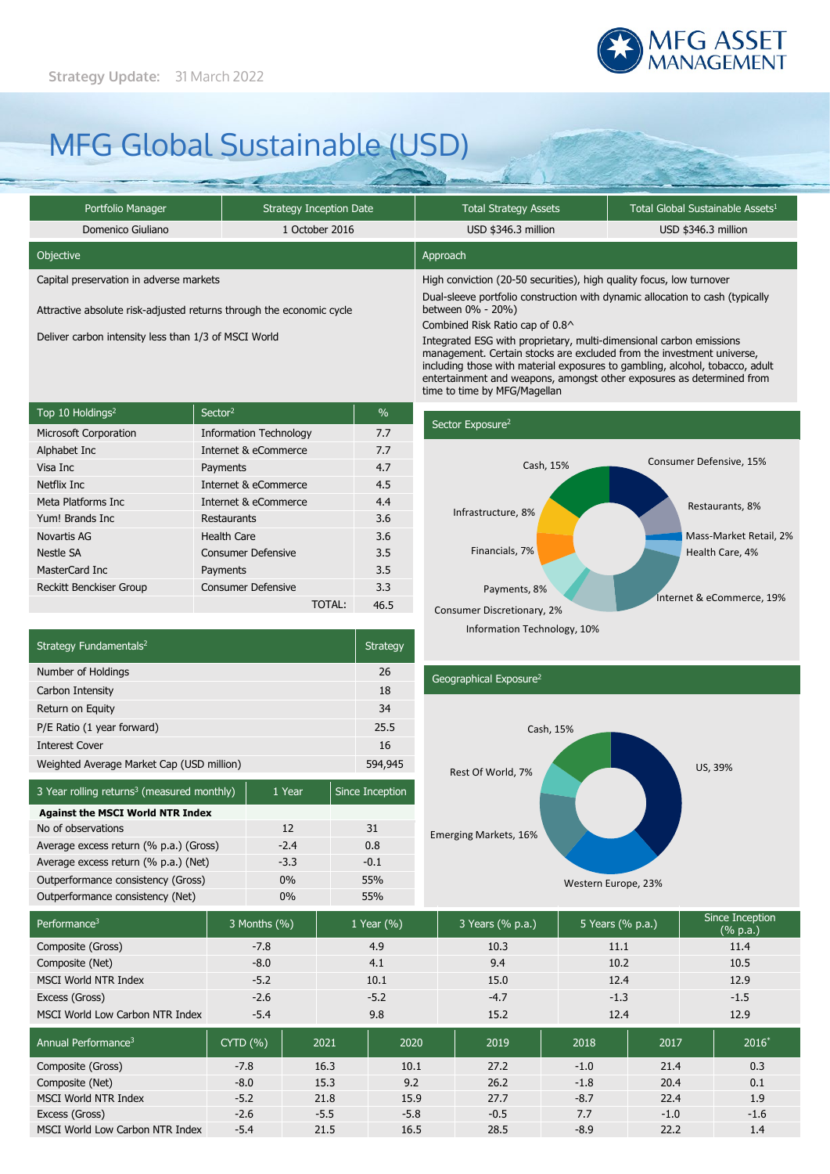

# MFG Global Sustainable (USD)

| Portfolio Manager                                                    | <b>Strategy Inception Date</b> | <b>Total Strategy Assets</b>                                                                                                                          | Total Global Sustainable Assets <sup>1</sup> |  |  |
|----------------------------------------------------------------------|--------------------------------|-------------------------------------------------------------------------------------------------------------------------------------------------------|----------------------------------------------|--|--|
| Domenico Giuliano                                                    | 1 October 2016                 | USD \$346.3 million                                                                                                                                   | USD \$346.3 million                          |  |  |
| Objective                                                            |                                | Approach                                                                                                                                              |                                              |  |  |
| Capital preservation in adverse markets                              |                                | High conviction (20-50 securities), high quality focus, low turnover<br>Dual-sleeve portfolio construction with dynamic allocation to cash (typically |                                              |  |  |
| Attractive absolute risk-adjusted returns through the economic cycle |                                | between 0% - 20%)                                                                                                                                     |                                              |  |  |
|                                                                      |                                | Combined Risk Ratio cap of 0.8^                                                                                                                       |                                              |  |  |
| Deliver carbon intensity less than 1/3 of MSCI World                 |                                | Integrated ESG with proprietary, multi-dimensional carbon emissions<br>management. Certain stocks are excluded from the investment universe,          |                                              |  |  |

| Top 10 Holdings <sup>2</sup>   | Sector <sup>2</sup>           | $\frac{0}{0}$ |
|--------------------------------|-------------------------------|---------------|
| <b>Microsoft Corporation</b>   | <b>Information Technology</b> | 7.7           |
| Alphabet Inc                   | Internet & eCommerce          | 7.7           |
| Visa Inc                       | Payments                      | 4.7           |
| Netflix Inc.                   | Internet & eCommerce          | 4.5           |
| Meta Platforms Inc             | Internet & eCommerce          | 4.4           |
| Yum! Brands Inc                | Restaurants                   | 3.6           |
| Novartis AG                    | <b>Health Care</b>            | 3.6           |
| Nestle SA                      | <b>Consumer Defensive</b>     | 3.5           |
| MasterCard Inc                 | Payments                      | 3.5           |
| <b>Reckitt Benckiser Group</b> | <b>Consumer Defensive</b>     | 3.3           |
|                                | TOTAL:                        | 46.5          |

### Sector Exposure<sup>2</sup>

time to time by MFG/Magellan



including those with material exposures to gambling, alcohol, tobacco, adult entertainment and weapons, amongst other exposures as determined from

| Strategy Fundamentals <sup>2</sup>        |         |
|-------------------------------------------|---------|
| Number of Holdings                        | 26      |
| Carbon Intensity                          | 18      |
| Return on Equity                          | 34      |
| P/E Ratio (1 year forward)                | 25.5    |
| <b>Interest Cover</b>                     |         |
| Weighted Average Market Cap (USD million) | 594,945 |
|                                           |         |

| 3 Year rolling returns <sup>3</sup> (measured monthly) | 1 Year | Since Inception |  |
|--------------------------------------------------------|--------|-----------------|--|
| <b>Against the MSCI World NTR Index</b>                |        |                 |  |
| No of observations                                     | 12     | 31              |  |
| Average excess return (% p.a.) (Gross)                 | $-2.4$ | 0.8             |  |
| Average excess return (% p.a.) (Net)                   | $-3.3$ | $-0.1$          |  |
| Outperformance consistency (Gross)                     | $0\%$  | 55%             |  |
| Outperformance consistency (Net)                       | $0\%$  | 55%             |  |
|                                                        |        |                 |  |

## Geographical Exposure2



| Performance <sup>3</sup>        | 3 Months (%) |        | 1 Year $(\% )$ | 3 Years (% p.a.) | 5 Years (% p.a.) |        | Since Inception<br>$(\%$ p.a.) |
|---------------------------------|--------------|--------|----------------|------------------|------------------|--------|--------------------------------|
| Composite (Gross)               | $-7.8$       |        | 4.9            | 10.3             | 11.1             |        | 11.4                           |
| Composite (Net)                 | $-8.0$       |        | 4.1            | 9.4              | 10.2             |        | 10.5                           |
| MSCI World NTR Index            | $-5.2$       |        | 10.1           | 15.0             | 12.4             |        | 12.9                           |
| Excess (Gross)                  | $-2.6$       |        | $-5.2$         | $-4.7$           | $-1.3$           |        | $-1.5$                         |
| MSCI World Low Carbon NTR Index | $-5.4$       |        | 9.8            | 15.2             | 12.4             |        | 12.9                           |
| Annual Performance <sup>3</sup> | CYTD(%)      | 2021   | 2020           | 2019             | 2018             | 2017   | $2016*$                        |
| Composite (Gross)               | $-7.8$       | 16.3   | 10.1           | 27.2             | $-1.0$           | 21.4   | 0.3                            |
| Composite (Net)                 | $-8.0$       | 15.3   | 9.2            | 26.2             | $-1.8$           | 20.4   | 0.1                            |
| <b>MSCI World NTR Index</b>     | $-5.2$       | 21.8   | 15.9           | 27.7             | $-8.7$           | 22.4   | 1.9                            |
| Excess (Gross)                  | $-2.6$       | $-5.5$ | $-5.8$         | $-0.5$           | 7.7              | $-1.0$ | $-1.6$                         |
| MSCI World Low Carbon NTR Index | $-5.4$       | 21.5   | 16.5           | 28.5             | $-8.9$           | 22.2   | 1.4                            |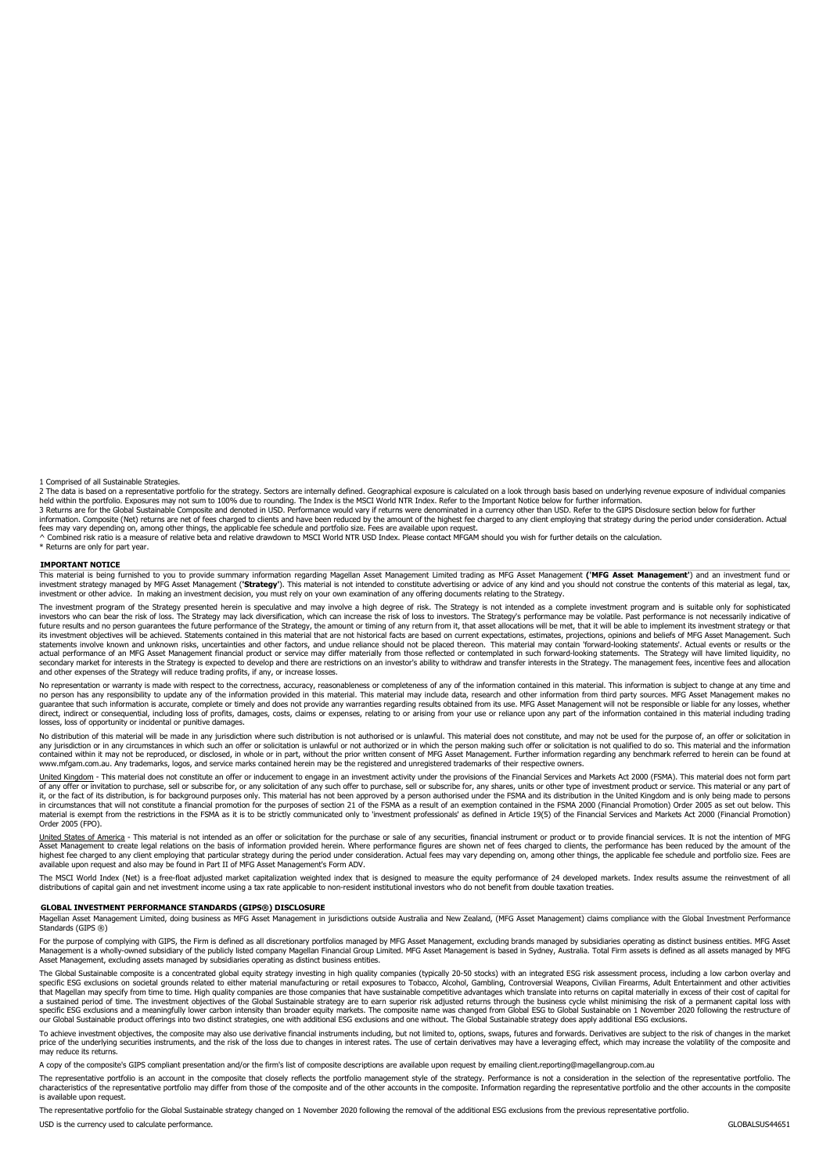1 Comprised of all Sustainable Strategies.

2 The data is based on a representative portfolio for the strategy. Sectors are internally defined. Geographical exposure is calculated on a look through basis based on underlying revenue exposure of individual companies<br>h

3 Returns are for the Global Sustainable Composite and denoted in USD. Performance would vary if returns were denominated in a currency other than USD. Refer to the GIPS Disclosure section below for further<br>information. Co

\* Returns are only for part year.

#### **IMPORTANT NOTICE**

This material is being furnished to you to provide summary information regarding Magellan Asset Management Limited trading as MFG Asset Management **('MFG Asset Management'**) and an investment fund or investment strategy managed by MFG Asset Management (**'Strategy'**). This material is not intended to constitute advertising or advice of any kind and you should not construe the contents of this material as legal, tax,<br>inv

The investment program of the Strategy presented herein is speculative and may involve a high degree of risk. The Strategy is not intended as a complete investment program and is suitable only for sophisticated investors who can bear the risk of loss. The Strategy may lack diversification, which can increase the risk of loss to investors. The Strategy's performance may be volatile. Past performance is not necessarily indicative o statements involve known and unknown risks, uncertainties and other factors, and undue reliance should not be placed thereon. This material may contain 'forward-looking statements'. Actual events or results or the<br>actual p secondary market for interests in the Strategy is expected to develop and there are restrictions on an investor's ability to withdraw and transfer interests in the Strategy. The management fees, incentive fees and allocati

No representation or warranty is made with respect to the correctness, accuracy, reasonableness or completeness of any of the information contained in this material. This information is subject to change at any time and<br>no guarantee that such information is accurate, complete or timely and does not provide any warranties regarding results obtained from its use. MFG Asset Management will not be responsible or liable for any losses, whether<br>di losses, loss of opportunity or incidental or punitive damages.

No distribution of this material will be made in any jurisdiction where such distribution is not authorised or is unlawful. This material does not constitute, and may not be used for the purpose of, an offer or solicitatio any jurisdiction or in any circumstances in which such an offer or solicitation is unlawful or not authorized or in which the person making such offer or solicitation is not qualified to do so. This material and the inform www.mfgam.com.au. Any trademarks, logos, and service marks contained herein may be the registered and unregistered trademarks of their respective owners.

United Kingdom - This material does not constitute an offer or inducement to engage in an investment activity under the provisions of the Financial Services and Markets Act 2000 (FSMA). This material does not form part invision to purchase, sell or subscribe for, or any solidation of any such after to purchase, sell or subscribe for, any shares, units or other type of investment product or service. This material or any part of investment it, or the fact of its distribution, is for background purposes only. This material has not been approved by a person authorised under the FSMA and its distribution in the United Kingdom and is only being made to persons<br>i Order 2005 (FPO).

<u>United States of America</u> - This material is not intended as an offer or solicitation for the purchase or sale of any securities, financial instrument or product or to provide financial services. It is not the intention o highest tee charged to any client employing that particular strategy during the period under consideration. Actual fees may vary depending on, among other things, the applicable fee schedule and portfolio size. Fees are<br>av

The MSCI World Index (Net) is a free-float adjusted market capitalization weighted index that is designed to measure the equity performance of 24 developed markets. Index results assume the reinvestment of all<br>distribution

#### **GLOBAL INVESTMENT PERFORMANCE STANDARDS (GIPS®) DISCLOSURE**

Magellan Asset Management Limited, doing business as MFG Asset Management in jurisdictions outside Australia and New Zealand, (MFG Asset Management) claims compliance with the Global Investment Performance<br>Standards (GIPS

For the purpose of complying with GIPS, the Firm is defined as all discretionary portfolios managed by MFG Asset Management, excluding brands managed by subsidiaries operating as distinct business entities. MFG Asset<br>Manag Asset Management, excluding assets managed by subsidiaries operating as distinct business entities.

The Global Sustainable composite is a concentrated global equity strategy investing in high quality companies (typically 20-50 stocks) with an integrated ESG risk assessment process, including a low carbon overlay and<br>spec that Magellan may specify from time to time. High quality companies are those companies that have sustainable competitive advantages which translate into returns on capital materially in excess of their cost of capital for a sustained period of time. The investment objectives of the Global Sustainable strategy are to earn superior risk adjusted returns through the business cycle whilst minimising the risk of a permanent capital loss with<br>spe our Global Sustainable product offerings into two distinct strategies, one with additional ESG exclusions and one without. The Global Sustainable strategy does apply additional ESG exclusions.

To achieve investment objectives, the composite may also use derivative financial instruments including, but not limited to, options, swaps, futures and forwards. Derivatives are subject to the risk of changes in the market price of the underlying securities instruments, and the risk of the loss due to changes in interest rates. The use of certain derivatives may have a leveraging effect, which may increase the volatility of the composite and

A copy of the composite's GIPS compliant presentation and/or the firm's list of composite descriptions are available upon request by emailing client.reporting@magellangroup.com.au

The representative portfolio is an account in the composite that closely reflects the portfolio management style of the strategy. Performance is not a consideration in the selection of the representative portfolio. The rep

The representative portfolio for the Global Sustainable strategy changed on 1 November 2020 following the removal of the additional ESG exclusions from the previous representative portfolio. USD is the currency used to calculate performance. GLOBALSUS44651